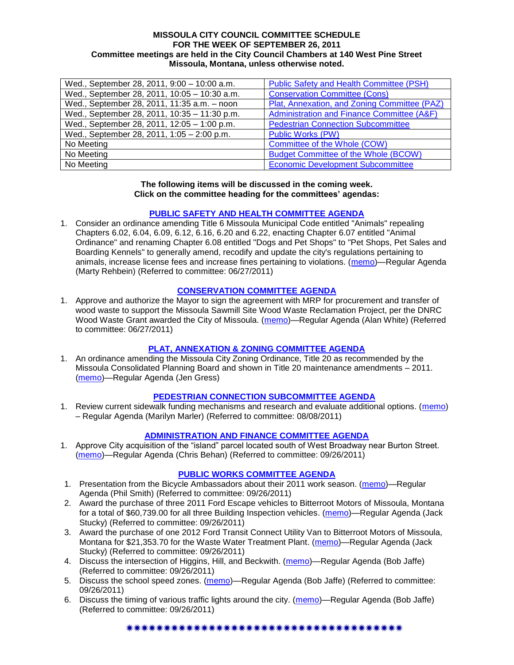#### **MISSOULA CITY COUNCIL COMMITTEE SCHEDULE FOR THE WEEK OF SEPTEMBER 26, 2011 Committee meetings are held in the City Council Chambers at 140 West Pine Street Missoula, Montana, unless otherwise noted.**

| Wed., September 28, 2011, 9:00 - 10:00 a.m.  | Public Safety and Health Committee (PSH)     |
|----------------------------------------------|----------------------------------------------|
| Wed., September 28, 2011, 10:05 - 10:30 a.m. | <b>Conservation Committee (Cons)</b>         |
| Wed., September 28, 2011, 11:35 a.m. - noon  | Plat, Annexation, and Zoning Committee (PAZ) |
| Wed., September 28, 2011, 10:35 - 11:30 p.m. | Administration and Finance Committee (A&F)   |
| Wed., September 28, 2011, 12:05 - 1:00 p.m.  | <b>Pedestrian Connection Subcommittee</b>    |
| Wed., September 28, 2011, 1:05 - 2:00 p.m.   | <b>Public Works (PW)</b>                     |
| No Meeting                                   | Committee of the Whole (COW)                 |
| No Meeting                                   | <b>Budget Committee of the Whole (BCOW)</b>  |
| No Meeting                                   | <b>Economic Development Subcommittee</b>     |

#### **The following items will be discussed in the coming week. Click on the committee heading for the committees' agendas:**

### **[PUBLIC SAFETY AND HEALTH COMMITTEE AGENDA](http://www.ci.missoula.mt.us/DocumentCenterii.aspx?FID=836)**

1. Consider an ordinance amending Title 6 Missoula Municipal Code entitled "Animals" repealing Chapters 6.02, 6.04, 6.09, 6.12, 6.16, 6.20 and 6.22, enacting Chapter 6.07 entitled "Animal Ordinance" and renaming Chapter 6.08 entitled "Dogs and Pet Shops" to "Pet Shops, Pet Sales and Boarding Kennels" to generally amend, recodify and update the city's regulations pertaining to animals, increase license fees and increase fines pertaining to violations. [\(memo\)](http://www.ci.missoula.mt.us/DocumentView.aspx?DID=6698)—Regular Agenda (Marty Rehbein) (Referred to committee: 06/27/2011)

### **[CONSERVATION COMMITTEE AGENDA](http://www.ci.missoula.mt.us/DocumentCenterii.aspx?FID=832)**

1. Approve and authorize the Mayor to sign the agreement with MRP for procurement and transfer of wood waste to support the Missoula Sawmill Site Wood Waste Reclamation Project, per the DNRC Wood Waste Grant awarded the City of Missoula. [\(memo\)](http://www.ci.missoula.mt.us/DocumentView.aspx?DID=6682)—Regular Agenda (Alan White) (Referred to committee: 06/27/2011)

# **[PLAT, ANNEXATION & ZONING COMMITTEE AGENDA](http://www.ci.missoula.mt.us/DocumentCenterii.aspx?FID=831)**

1. An ordinance amending the Missoula City Zoning Ordinance, Title 20 as recommended by the Missoula Consolidated Planning Board and shown in Title 20 maintenance amendments – 2011. [\(memo\)](http://www.ci.missoula.mt.us/DocumentView.aspx?DID=7143)—Regular Agenda (Jen Gress)

### **[PEDESTRIAN CONNECTION SUBCOMMITTEE AGENDA](http://www.ci.missoula.mt.us/DocumentCenterii.aspx?FID=845)**

1. Review current sidewalk funding mechanisms and research and evaluate additional options. [\(memo\)](http://www.ci.missoula.mt.us/DocumentView.aspx?DID=7017) – Regular Agenda (Marilyn Marler) (Referred to committee: 08/08/2011)

### **[ADMINISTRATION AND FINANCE COMMITTEE AGENDA](http://www.ci.missoula.mt.us/DocumentCenterii.aspx?FID=830)**

1. Approve City acquisition of the "island" parcel located south of West Broadway near Burton Street. [\(memo\)](http://www.ci.missoula.mt.us/DocumentView.aspx?DID=7334)—Regular Agenda (Chris Behan) (Referred to committee: 09/26/2011)

### **[PUBLIC WORKS COMMITTEE AGENDA](http://www.ci.missoula.mt.us/DocumentCenterii.aspx?FID=833)**

- 1. Presentation from the Bicycle Ambassadors about their 2011 work season. [\(memo\)](http://www.ci.missoula.mt.us/DocumentView.aspx?DID=7329)—Regular Agenda (Phil Smith) (Referred to committee: 09/26/2011)
- 2. Award the purchase of three 2011 Ford Escape vehicles to Bitterroot Motors of Missoula, Montana for a total of \$60,739.00 for all three Building Inspection vehicles. [\(memo\)](http://www.ci.missoula.mt.us/DocumentView.aspx?DID=7328)—Regular Agenda (Jack Stucky) (Referred to committee: 09/26/2011)
- 3. Award the purchase of one 2012 Ford Transit Connect Utility Van to Bitterroot Motors of Missoula, Montana for \$21,353.70 for the Waste Water Treatment Plant. [\(memo\)](http://www.ci.missoula.mt.us/DocumentView.aspx?DID=7330)—Regular Agenda (Jack Stucky) (Referred to committee: 09/26/2011)
- 4. Discuss the intersection of Higgins, Hill, and Beckwith. [\(memo\)](http://www.ci.missoula.mt.us/DocumentView.aspx?DID=7320)—Regular Agenda (Bob Jaffe) (Referred to committee: 09/26/2011)
- 5. Discuss the school speed zones. [\(memo\)](http://www.ci.missoula.mt.us/DocumentView.aspx?DID=7321)—Regular Agenda (Bob Jaffe) (Referred to committee: 09/26/2011)
- 6. Discuss the timing of various traffic lights around the city. [\(memo\)](http://www.ci.missoula.mt.us/DocumentView.aspx?DID=7322)—Regular Agenda (Bob Jaffe) (Referred to committee: 09/26/2011)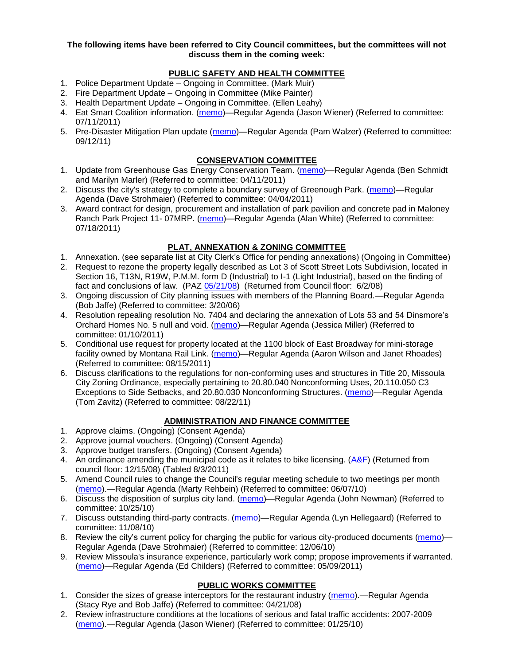#### **The following items have been referred to City Council committees, but the committees will not discuss them in the coming week:**

## **PUBLIC SAFETY AND HEALTH COMMITTEE**

- 1. Police Department Update Ongoing in Committee. (Mark Muir)
- 2. Fire Department Update Ongoing in Committee (Mike Painter)
- 3. Health Department Update Ongoing in Committee. (Ellen Leahy)
- 4. Eat Smart Coalition information. [\(memo\)](http://www.ci.missoula.mt.us/DocumentView.aspx?DID=6776)—Regular Agenda (Jason Wiener) (Referred to committee: 07/11/2011)
- 5. Pre-Disaster Mitigation Plan update [\(memo\)](http://www.ci.missoula.mt.us/DocumentView.aspx?DID=7230)—Regular Agenda (Pam Walzer) (Referred to committee: 09/12/11)

### **CONSERVATION COMMITTEE**

- 1. Update from Greenhouse Gas Energy Conservation Team. [\(memo\)](http://www.ci.missoula.mt.us/DocumentView.aspx?DID=5945)—Regular Agenda (Ben Schmidt and Marilyn Marler) (Referred to committee: 04/11/2011)
- 2. Discuss the city's strategy to complete a boundary survey of Greenough Park. [\(memo\)](http://www.ci.missoula.mt.us/DocumentView.aspx?DID=5875)-Regular Agenda (Dave Strohmaier) (Referred to committee: 04/04/2011)
- 3. Award contract for design, procurement and installation of park pavilion and concrete pad in Maloney Ranch Park Project 11- 07MRP. [\(memo\)](http://www.ci.missoula.mt.us/DocumentView.aspx?DID=6859)—Regular Agenda (Alan White) (Referred to committee: 07/18/2011)

# **PLAT, ANNEXATION & ZONING COMMITTEE**

- 1. Annexation. (see separate list at City Clerk's Office for pending annexations) (Ongoing in Committee)
- 2. Request to rezone the property legally described as Lot 3 of Scott Street Lots Subdivision, located in Section 16, T13N, R19W, P.M.M. form D (Industrial) to I-1 (Light Industrial), based on the finding of fact and conclusions of law. (PAZ [05/21/08\)](ftp://ftp.ci.missoula.mt.us/Packets/Council/2008/2008-06-02/080521paz.pdf) (Returned from Council floor: 6/2/08)
- 3. Ongoing discussion of City planning issues with members of the Planning Board.—Regular Agenda (Bob Jaffe) (Referred to committee: 3/20/06)
- 4. Resolution repealing resolution No. 7404 and declaring the annexation of Lots 53 and 54 Dinsmore's Orchard Homes No. 5 null and void. [\(memo\)](http://www.ci.missoula.mt.us/DocumentView.aspx?DID=5349)—Regular Agenda (Jessica Miller) (Referred to committee: 01/10/2011)
- 5. Conditional use request for property located at the 1100 block of East Broadway for mini-storage facility owned by Montana Rail Link. [\(memo\)](http://www.ci.missoula.mt.us/DocumentView.aspx?DID=7067)—Regular Agenda (Aaron Wilson and Janet Rhoades) (Referred to committee: 08/15/2011)
- 6. Discuss clarifications to the regulations for non-conforming uses and structures in Title 20, Missoula City Zoning Ordinance, especially pertaining to 20.80.040 Nonconforming Uses, 20.110.050 C3 Exceptions to Side Setbacks, and 20.80.030 Nonconforming Structures. [\(memo\)](http://www.ci.missoula.mt.us/DocumentView.aspx?DID=7140)—Regular Agenda (Tom Zavitz) (Referred to committee: 08/22/11)

# **ADMINISTRATION AND FINANCE COMMITTEE**

- 1. Approve claims. (Ongoing) (Consent Agenda)
- 2. Approve journal vouchers. (Ongoing) (Consent Agenda)
- 3. Approve budget transfers. (Ongoing) (Consent Agenda)
- 4. An ordinance amending the municipal code as it relates to bike licensing. [\(A&F\)](ftp://ftp.ci.missoula.mt.us/Packets/Council/2008/2008-12-15/081210af.pdf) (Returned from council floor: 12/15/08) (Tabled 8/3/2011)
- 5. Amend Council rules to change the Council's regular meeting schedule to two meetings per month [\(memo\)](http://www.ci.missoula.mt.us/DocumentView.aspx?DID=4027).—Regular Agenda (Marty Rehbein) (Referred to committee: 06/07/10)
- 6. Discuss the disposition of surplus city land. [\(memo\)](http://www.ci.missoula.mt.us/DocumentView.aspx?DID=4862)—Regular Agenda (John Newman) (Referred to committee: 10/25/10)
- 7. Discuss outstanding third-party contracts. [\(memo\)](http://www.ci.missoula.mt.us/DocumentView.aspx?DID=4956)—Regular Agenda (Lyn Hellegaard) (Referred to committee: 11/08/10)
- 8. Review the city's current policy for charging the public for various city-produced documents [\(memo\)](http://www.ci.missoula.mt.us/DocumentView.aspx?DID=5143) Regular Agenda (Dave Strohmaier) (Referred to committee: 12/06/10)
- 9. Review Missoula's insurance experience, particularly work comp; propose improvements if warranted. [\(memo\)](http://www.ci.missoula.mt.us/DocumentView.aspx?DID=6381)—Regular Agenda (Ed Childers) (Referred to committee: 05/09/2011)

# **PUBLIC WORKS COMMITTEE**

- 1. Consider the sizes of grease interceptors for the restaurant industry [\(memo\)](ftp://ftp.ci.missoula.mt.us/Packets/Council/2008/2008-04-21/Referrals/Industrial_waste_restaurants.pdf).—Regular Agenda (Stacy Rye and Bob Jaffe) (Referred to committee: 04/21/08)
- 2. Review infrastructure conditions at the locations of serious and fatal traffic accidents: 2007-2009 [\(memo\)](http://www.ci.missoula.mt.us/DocumentView.aspx?DID=3031).—Regular Agenda (Jason Wiener) (Referred to committee: 01/25/10)